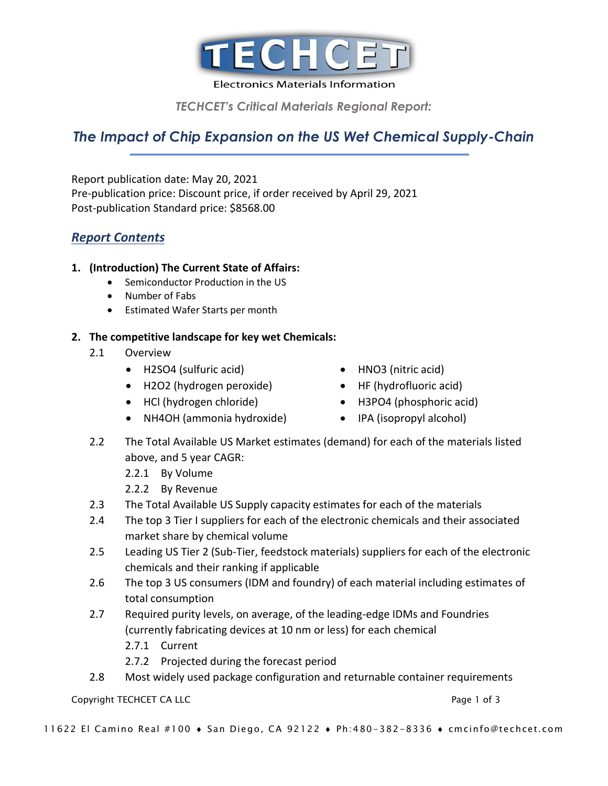

**Electronics Materials Information** 

*TECHCET's Critical Materials Regional Report:* 

# *The Impact of Chip Expansion on the US Wet Chemical Supply-Chain*

Report publication date: May 20, 2021 Pre-publication price: Discount price, if order received by April 29, 2021 Post-publication Standard price: \$8568.00

## *Report Contents*

#### **1. (Introduction) The Current State of Affairs:**

- Semiconductor Production in the US
- Number of Fabs
- Estimated Wafer Starts per month

#### **2. The competitive landscape for key wet Chemicals:**

- 2.1 Overview
	- H2SO4 (sulfuric acid)
	- H2O2 (hydrogen peroxide)
	- HCl (hydrogen chloride)
	- NH4OH (ammonia hydroxide)
- HNO3 (nitric acid)
- HF (hydrofluoric acid)
- H3PO4 (phosphoric acid)
- IPA (isopropyl alcohol)
- 2.2 The Total Available US Market estimates (demand) for each of the materials listed above, and 5 year CAGR:
	- 2.2.1 By Volume
	- 2.2.2 By Revenue
- 2.3 The Total Available US Supply capacity estimates for each of the materials
- 2.4 The top 3 Tier I suppliers for each of the electronic chemicals and their associated market share by chemical volume
- 2.5 Leading US Tier 2 (Sub-Tier, feedstock materials) suppliers for each of the electronic chemicals and their ranking if applicable
- 2.6 The top 3 US consumers (IDM and foundry) of each material including estimates of total consumption
- 2.7 Required purity levels, on average, of the leading-edge IDMs and Foundries (currently fabricating devices at 10 nm or less) for each chemical
	- 2.7.1 Current
	- 2.7.2 Projected during the forecast period
- 2.8 Most widely used package configuration and returnable container requirements

#### Copyright TECHCET CA LLC **Page 1 of 3** and 2 of 3 and 2 of 3 and 2 of 3 and 2 of 3 and 2 of 3 and 2 of 3 and 2 of 3 and 2 of 3 and 2 of 3 and 2 of 3 and 2 of 3 and 2 of 3 and 2 of 3 and 2 of 3 and 2 of 3 and 2 of 3 and 2 o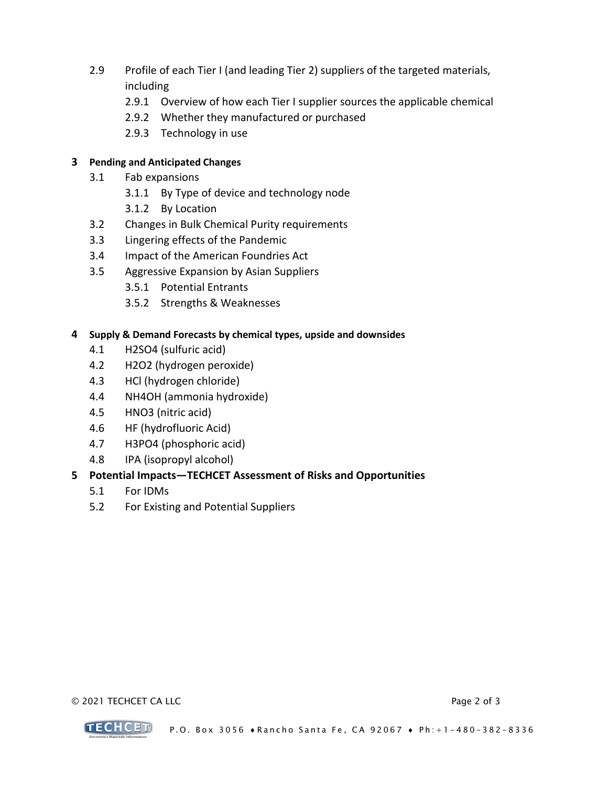- 2.9 Profile of each Tier I (and leading Tier 2) suppliers of the targeted materials, including
	- 2.9.1 Overview of how each Tier I supplier sources the applicable chemical
	- 2.9.2 Whether they manufactured or purchased
	- 2.9.3 Technology in use

#### **3 Pending and Anticipated Changes**

- 3.1 Fab expansions
	- 3.1.1 By Type of device and technology node
	- 3.1.2 By Location
- 3.2 Changes in Bulk Chemical Purity requirements
- 3.3 Lingering effects of the Pandemic
- 3.4 Impact of the American Foundries Act
- 3.5 Aggressive Expansion by Asian Suppliers
	- 3.5.1 Potential Entrants
	- 3.5.2 Strengths & Weaknesses

#### **4 Supply & Demand Forecasts by chemical types, upside and downsides**

- 4.1 H2SO4 (sulfuric acid)
- 4.2 H2O2 (hydrogen peroxide)
- 4.3 HCl (hydrogen chloride)
- 4.4 NH4OH (ammonia hydroxide)
- 4.5 HNO3 (nitric acid)
- 4.6 HF (hydrofluoric Acid)
- 4.7 H3PO4 (phosphoric acid)
- 4.8 IPA (isopropyl alcohol)

#### **5 Potential Impacts—TECHCET Assessment of Risks and Opportunities**

- 5.1 For IDMs
- 5.2 For Existing and Potential Suppliers

#### © 2021 TECHCET CA LLC Page 2 of 3